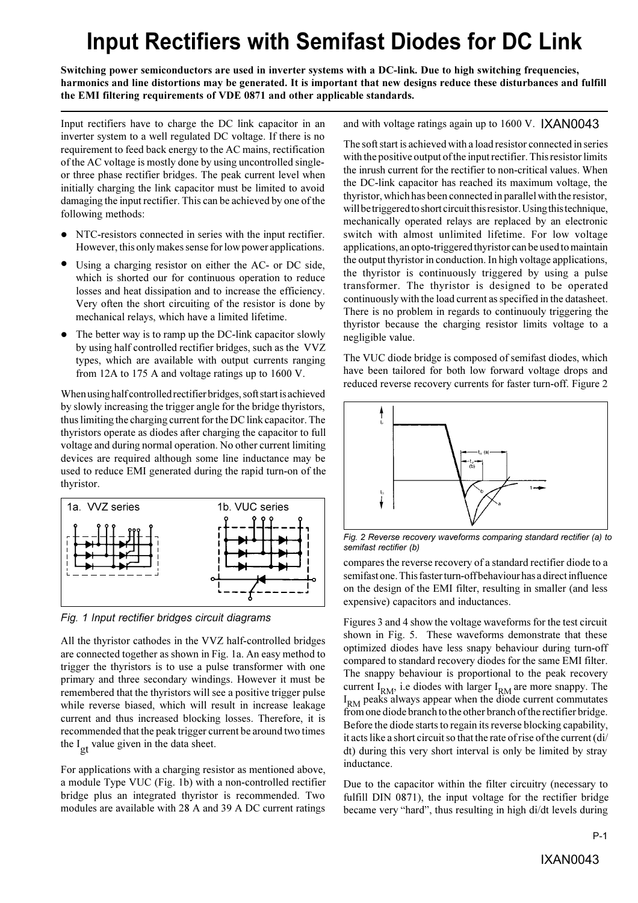## **Input Rectifiers with Semifast Diodes for DC Link**

**Switching power semiconductors are used in inverter systems with a DC-link. Due to high switching frequencies, harmonics and line distortions may be generated. It is important that new designs reduce these disturbances and fulfill the EMI filtering requirements of VDE 0871 and other applicable standards.**

Input rectifiers have to charge the DC link capacitor in an inverter system to a well regulated DC voltage. If there is no requirement to feed back energy to the AC mains, rectification of the AC voltage is mostly done by using uncontrolled singleor three phase rectifier bridges. The peak current level when initially charging the link capacitor must be limited to avoid damaging the input rectifier. This can be achieved by one of the following methods:

- NTC-resistors connected in series with the input rectifier. However, this only makes sense for low power applications.
- Using a charging resistor on either the AC- or DC side, l which is shorted our for continuous operation to reduce losses and heat dissipation and to increase the efficiency. Very often the short circuiting of the resistor is done by mechanical relays, which have a limited lifetime.
- The better way is to ramp up the DC-link capacitor slowly by using half controlled rectifier bridges, such as the VVZ types, which are available with output currents ranging from 12A to 175 A and voltage ratings up to 1600 V.  $\bullet$

When using half controlled rectifier bridges, soft start is achieved by slowly increasing the trigger angle for the bridge thyristors, thus limiting the charging current for the DC link capacitor. The thyristors operate as diodes after charging the capacitor to full voltage and during normal operation. No other current limiting devices are required although some line inductance may be used to reduce EMI generated during the rapid turn-on of the thyristor.



*Fig. 1 Input rectifier bridges circuit diagrams*

All the thyristor cathodes in the VVZ half-controlled bridges are connected together as shown in Fig. 1a. An easy method to trigger the thyristors is to use a pulse transformer with one primary and three secondary windings. However it must be remembered that the thyristors will see a positive trigger pulse while reverse biased, which will result in increase leakage current and thus increased blocking losses. Therefore, it is recommended that the peak trigger current be around two times the  $I_{\text{ot}}$  value given in the data sheet.

For applications with a charging resistor as mentioned above, a module Type VUC (Fig. 1b) with a non-controlled rectifier bridge plus an integrated thyristor is recommended. Two modules are available with 28 A and 39 A DC current ratings

## and with voltage ratings again up to 1600 V. IXAN0043

The soft start is achieved with a load resistor connected in series with the positive output of the input rectifier. This resistor limits the inrush current for the rectifier to non-critical values. When the DC-link capacitor has reached its maximum voltage, the thyristor, which has been connected in parallel with the resistor, will be triggered to short circuit this resistor. Using this technique, mechanically operated relays are replaced by an electronic switch with almost unlimited lifetime. For low voltage applications, an opto-triggered thyristor can be used to maintain the output thyristor in conduction. In high voltage applications, the thyristor is continuously triggered by using a pulse transformer. The thyristor is designed to be operated continuously with the load current as specified in the datasheet. There is no problem in regards to continuouly triggering the thyristor because the charging resistor limits voltage to a negligible value.

The VUC diode bridge is composed of semifast diodes, which have been tailored for both low forward voltage drops and reduced reverse recovery currents for faster turn-off. Figure 2



*Fig. 2 Reverse recovery waveforms comparing standard rectifier (a) to semifast rectifier (b)*

compares the reverse recovery of a standard rectifier diode to a semifast one. This faster turn-off behaviour has a direct influence on the design of the EMI filter, resulting in smaller (and less expensive) capacitors and inductances.

Figures 3 and 4 show the voltage waveforms for the test circuit shown in Fig. 5. These waveforms demonstrate that these optimized diodes have less snapy behaviour during turn-off compared to standard recovery diodes for the same EMI filter. The snappy behaviour is proportional to the peak recovery current  $I_{RM}$ , i.e diodes with larger  $I_{RM}$  are more snappy. The I<sub>RM</sub> peaks always appear when the diode current commutates from one diode branch to the other branch of the rectifier bridge. Before the diode starts to regain its reverse blocking capability, it acts like a short circuit so that the rate of rise of the current (di/ dt) during this very short interval is only be limited by stray inductance.

Due to the capacitor within the filter circuitry (necessary to fulfill DIN 0871), the input voltage for the rectifier bridge became very "hard", thus resulting in high di/dt levels during